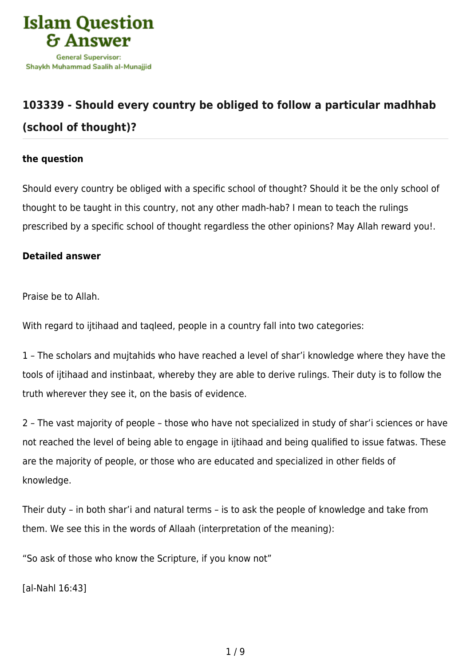

# **[103339 - Should every country be obliged to follow a particular madhhab](https://islamqa.com/en/answers/103339/should-every-country-be-obliged-to-follow-a-particular-madhhab-school-of-thought) [\(school of thought\)?](https://islamqa.com/en/answers/103339/should-every-country-be-obliged-to-follow-a-particular-madhhab-school-of-thought)**

# **the question**

Should every country be obliged with a specific school of thought? Should it be the only school of thought to be taught in this country, not any other madh-hab? I mean to teach the rulings prescribed by a specific school of thought regardless the other opinions? May Allah reward you!.

# **Detailed answer**

Praise be to Allah.

With regard to iitihaad and tagleed, people in a country fall into two categories:

1 – The scholars and mujtahids who have reached a level of shar'i knowledge where they have the tools of ijtihaad and instinbaat, whereby they are able to derive rulings. Their duty is to follow the truth wherever they see it, on the basis of evidence.

2 – The vast majority of people – those who have not specialized in study of shar'i sciences or have not reached the level of being able to engage in ijtihaad and being qualified to issue fatwas. These are the majority of people, or those who are educated and specialized in other fields of knowledge.

Their duty – in both shar'i and natural terms – is to ask the people of knowledge and take from them. We see this in the words of Allaah (interpretation of the meaning):

"So ask of those who know the Scripture, if you know not"

[al-Nahl 16:43]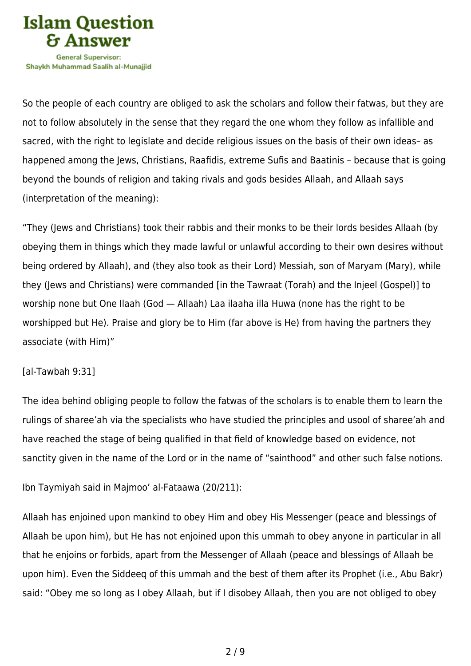

So the people of each country are obliged to ask the scholars and follow their fatwas, but they are not to follow absolutely in the sense that they regard the one whom they follow as infallible and sacred, with the right to legislate and decide religious issues on the basis of their own ideas– as happened among the Jews, Christians, Raafidis, extreme Sufis and Baatinis – because that is going beyond the bounds of religion and taking rivals and gods besides Allaah, and Allaah says (interpretation of the meaning):

"They (Jews and Christians) took their rabbis and their monks to be their lords besides Allaah (by obeying them in things which they made lawful or unlawful according to their own desires without being ordered by Allaah), and (they also took as their Lord) Messiah, son of Maryam (Mary), while they (Jews and Christians) were commanded [in the Tawraat (Torah) and the Injeel (Gospel)] to worship none but One Ilaah (God — Allaah) Laa ilaaha illa Huwa (none has the right to be worshipped but He). Praise and glory be to Him (far above is He) from having the partners they associate (with Him)"

#### [al-Tawbah 9:31]

The idea behind obliging people to follow the fatwas of the scholars is to enable them to learn the rulings of sharee'ah via the specialists who have studied the principles and usool of sharee'ah and have reached the stage of being qualified in that field of knowledge based on evidence, not sanctity given in the name of the Lord or in the name of "sainthood" and other such false notions.

Ibn Taymiyah said in Majmoo' al-Fataawa (20/211):

Allaah has enjoined upon mankind to obey Him and obey His Messenger (peace and blessings of Allaah be upon him), but He has not enjoined upon this ummah to obey anyone in particular in all that he enjoins or forbids, apart from the Messenger of Allaah (peace and blessings of Allaah be upon him). Even the Siddeeq of this ummah and the best of them after its Prophet (i.e., Abu Bakr) said: "Obey me so long as I obey Allaah, but if I disobey Allaah, then you are not obliged to obey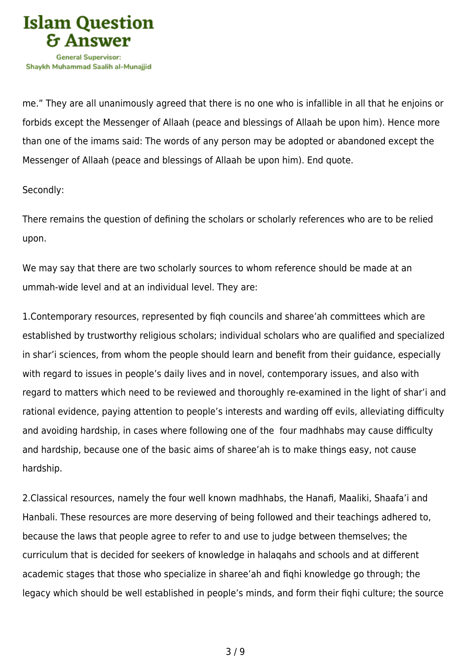

me." They are all unanimously agreed that there is no one who is infallible in all that he enjoins or forbids except the Messenger of Allaah (peace and blessings of Allaah be upon him). Hence more than one of the imams said: The words of any person may be adopted or abandoned except the Messenger of Allaah (peace and blessings of Allaah be upon him). End quote.

## Secondly:

There remains the question of defining the scholars or scholarly references who are to be relied upon.

We may say that there are two scholarly sources to whom reference should be made at an ummah-wide level and at an individual level. They are:

1.Contemporary resources, represented by fiqh councils and sharee'ah committees which are established by trustworthy religious scholars; individual scholars who are qualified and specialized in shar'i sciences, from whom the people should learn and benefit from their guidance, especially with regard to issues in people's daily lives and in novel, contemporary issues, and also with regard to matters which need to be reviewed and thoroughly re-examined in the light of shar'i and rational evidence, paying attention to people's interests and warding off evils, alleviating difficulty and avoiding hardship, in cases where following one of the four madhhabs may cause difficulty and hardship, because one of the basic aims of sharee'ah is to make things easy, not cause hardship.

2.Classical resources, namely the four well known madhhabs, the Hanafi, Maaliki, Shaafa'i and Hanbali. These resources are more deserving of being followed and their teachings adhered to, because the laws that people agree to refer to and use to judge between themselves; the curriculum that is decided for seekers of knowledge in halaqahs and schools and at different academic stages that those who specialize in sharee'ah and fiqhi knowledge go through; the legacy which should be well established in people's minds, and form their fiqhi culture; the source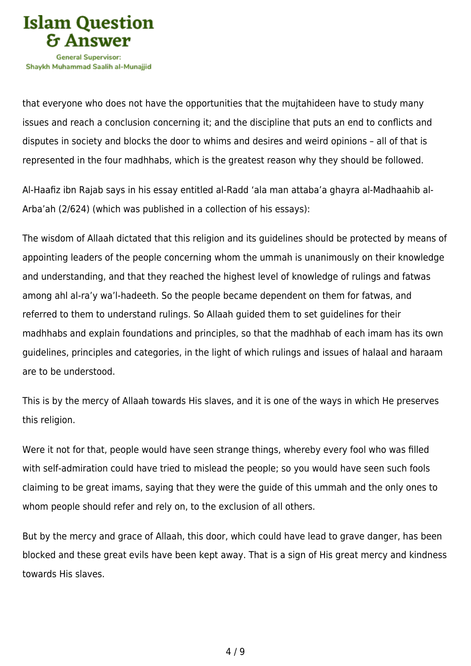

Shavkh Muhammad Saalih al-Munaiiid

that everyone who does not have the opportunities that the mujtahideen have to study many issues and reach a conclusion concerning it; and the discipline that puts an end to conflicts and disputes in society and blocks the door to whims and desires and weird opinions – all of that is represented in the four madhhabs, which is the greatest reason why they should be followed.

Al-Haafiz ibn Rajab says in his essay entitled al-Radd 'ala man attaba'a ghayra al-Madhaahib al-Arba'ah (2/624) (which was published in a collection of his essays):

The wisdom of Allaah dictated that this religion and its guidelines should be protected by means of appointing leaders of the people concerning whom the ummah is unanimously on their knowledge and understanding, and that they reached the highest level of knowledge of rulings and fatwas among ahl al-ra'y wa'l-hadeeth. So the people became dependent on them for fatwas, and referred to them to understand rulings. So Allaah guided them to set guidelines for their madhhabs and explain foundations and principles, so that the madhhab of each imam has its own guidelines, principles and categories, in the light of which rulings and issues of halaal and haraam are to be understood.

This is by the mercy of Allaah towards His slaves, and it is one of the ways in which He preserves this religion.

Were it not for that, people would have seen strange things, whereby every fool who was filled with self-admiration could have tried to mislead the people; so you would have seen such fools claiming to be great imams, saying that they were the guide of this ummah and the only ones to whom people should refer and rely on, to the exclusion of all others.

But by the mercy and grace of Allaah, this door, which could have lead to grave danger, has been blocked and these great evils have been kept away. That is a sign of His great mercy and kindness towards His slaves.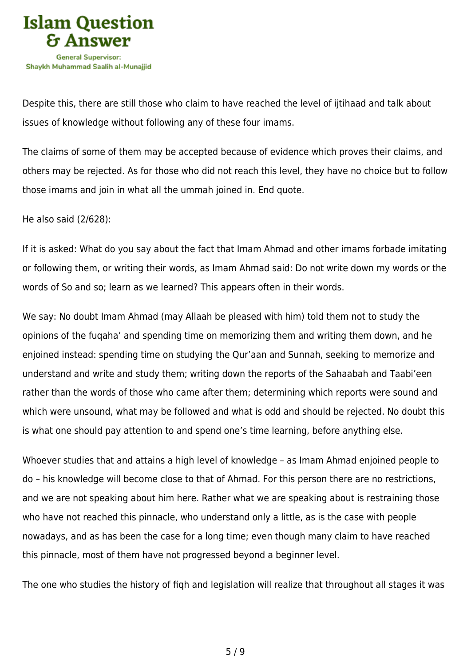

Despite this, there are still those who claim to have reached the level of ijtihaad and talk about issues of knowledge without following any of these four imams.

The claims of some of them may be accepted because of evidence which proves their claims, and others may be rejected. As for those who did not reach this level, they have no choice but to follow those imams and join in what all the ummah joined in. End quote.

He also said (2/628):

If it is asked: What do you say about the fact that Imam Ahmad and other imams forbade imitating or following them, or writing their words, as Imam Ahmad said: Do not write down my words or the words of So and so; learn as we learned? This appears often in their words.

We say: No doubt Imam Ahmad (may Allaah be pleased with him) told them not to study the opinions of the fuqaha' and spending time on memorizing them and writing them down, and he enjoined instead: spending time on studying the Qur'aan and Sunnah, seeking to memorize and understand and write and study them; writing down the reports of the Sahaabah and Taabi'een rather than the words of those who came after them; determining which reports were sound and which were unsound, what may be followed and what is odd and should be rejected. No doubt this is what one should pay attention to and spend one's time learning, before anything else.

Whoever studies that and attains a high level of knowledge – as Imam Ahmad enjoined people to do – his knowledge will become close to that of Ahmad. For this person there are no restrictions, and we are not speaking about him here. Rather what we are speaking about is restraining those who have not reached this pinnacle, who understand only a little, as is the case with people nowadays, and as has been the case for a long time; even though many claim to have reached this pinnacle, most of them have not progressed beyond a beginner level.

The one who studies the history of fiqh and legislation will realize that throughout all stages it was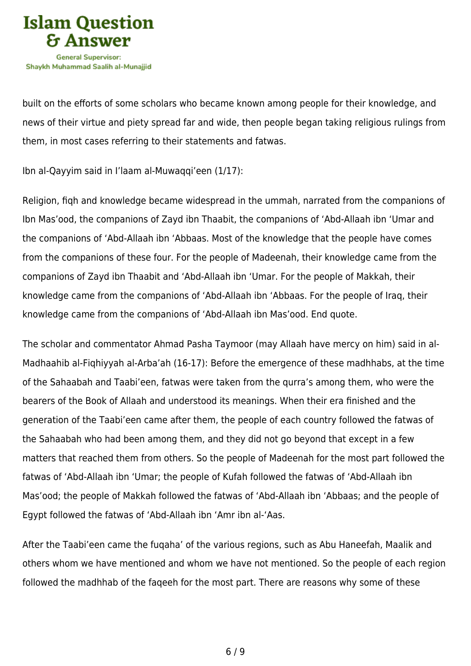

built on the efforts of some scholars who became known among people for their knowledge, and news of their virtue and piety spread far and wide, then people began taking religious rulings from them, in most cases referring to their statements and fatwas.

Ibn al-Qayyim said in I'laam al-Muwaqqi'een (1/17):

Religion, fiqh and knowledge became widespread in the ummah, narrated from the companions of Ibn Mas'ood, the companions of Zayd ibn Thaabit, the companions of 'Abd-Allaah ibn 'Umar and the companions of 'Abd-Allaah ibn 'Abbaas. Most of the knowledge that the people have comes from the companions of these four. For the people of Madeenah, their knowledge came from the companions of Zayd ibn Thaabit and 'Abd-Allaah ibn 'Umar. For the people of Makkah, their knowledge came from the companions of 'Abd-Allaah ibn 'Abbaas. For the people of Iraq, their knowledge came from the companions of 'Abd-Allaah ibn Mas'ood. End quote.

The scholar and commentator Ahmad Pasha Taymoor (may Allaah have mercy on him) said in al-Madhaahib al-Fiqhiyyah al-Arba'ah (16-17): Before the emergence of these madhhabs, at the time of the Sahaabah and Taabi'een, fatwas were taken from the qurra's among them, who were the bearers of the Book of Allaah and understood its meanings. When their era finished and the generation of the Taabi'een came after them, the people of each country followed the fatwas of the Sahaabah who had been among them, and they did not go beyond that except in a few matters that reached them from others. So the people of Madeenah for the most part followed the fatwas of 'Abd-Allaah ibn 'Umar; the people of Kufah followed the fatwas of 'Abd-Allaah ibn Mas'ood; the people of Makkah followed the fatwas of 'Abd-Allaah ibn 'Abbaas; and the people of Egypt followed the fatwas of 'Abd-Allaah ibn 'Amr ibn al-'Aas.

After the Taabi'een came the fuqaha' of the various regions, such as Abu Haneefah, Maalik and others whom we have mentioned and whom we have not mentioned. So the people of each region followed the madhhab of the faqeeh for the most part. There are reasons why some of these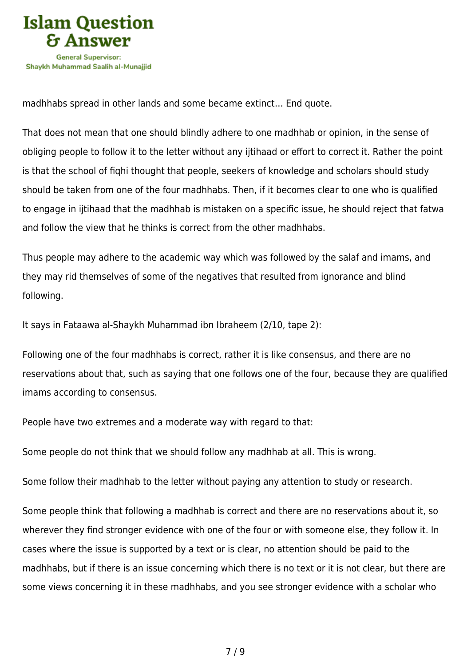

madhhabs spread in other lands and some became extinct… End quote.

That does not mean that one should blindly adhere to one madhhab or opinion, in the sense of obliging people to follow it to the letter without any ijtihaad or effort to correct it. Rather the point is that the school of fiqhi thought that people, seekers of knowledge and scholars should study should be taken from one of the four madhhabs. Then, if it becomes clear to one who is qualified to engage in ijtihaad that the madhhab is mistaken on a specific issue, he should reject that fatwa and follow the view that he thinks is correct from the other madhhabs.

Thus people may adhere to the academic way which was followed by the salaf and imams, and they may rid themselves of some of the negatives that resulted from ignorance and blind following.

It says in Fataawa al-Shaykh Muhammad ibn Ibraheem (2/10, tape 2):

Following one of the four madhhabs is correct, rather it is like consensus, and there are no reservations about that, such as saying that one follows one of the four, because they are qualified imams according to consensus.

People have two extremes and a moderate way with regard to that:

Some people do not think that we should follow any madhhab at all. This is wrong.

Some follow their madhhab to the letter without paying any attention to study or research.

Some people think that following a madhhab is correct and there are no reservations about it, so wherever they find stronger evidence with one of the four or with someone else, they follow it. In cases where the issue is supported by a text or is clear, no attention should be paid to the madhhabs, but if there is an issue concerning which there is no text or it is not clear, but there are some views concerning it in these madhhabs, and you see stronger evidence with a scholar who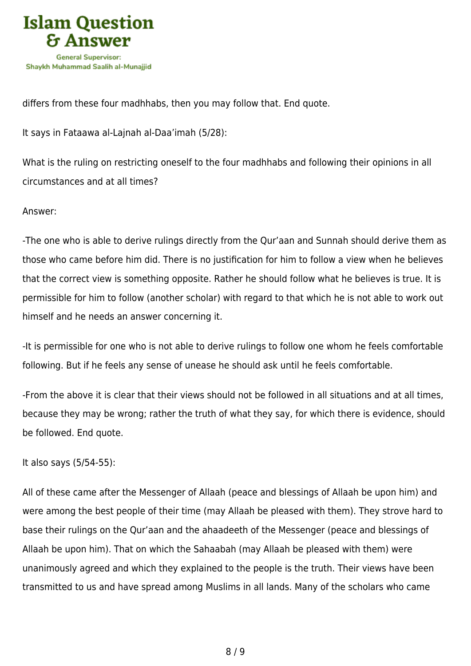

differs from these four madhhabs, then you may follow that. End quote.

It says in Fataawa al-Lajnah al-Daa'imah (5/28):

What is the ruling on restricting oneself to the four madhhabs and following their opinions in all circumstances and at all times?

## Answer:

-The one who is able to derive rulings directly from the Qur'aan and Sunnah should derive them as those who came before him did. There is no justification for him to follow a view when he believes that the correct view is something opposite. Rather he should follow what he believes is true. It is permissible for him to follow (another scholar) with regard to that which he is not able to work out himself and he needs an answer concerning it.

-It is permissible for one who is not able to derive rulings to follow one whom he feels comfortable following. But if he feels any sense of unease he should ask until he feels comfortable.

-From the above it is clear that their views should not be followed in all situations and at all times, because they may be wrong; rather the truth of what they say, for which there is evidence, should be followed. End quote.

It also says (5/54-55):

All of these came after the Messenger of Allaah (peace and blessings of Allaah be upon him) and were among the best people of their time (may Allaah be pleased with them). They strove hard to base their rulings on the Qur'aan and the ahaadeeth of the Messenger (peace and blessings of Allaah be upon him). That on which the Sahaabah (may Allaah be pleased with them) were unanimously agreed and which they explained to the people is the truth. Their views have been transmitted to us and have spread among Muslims in all lands. Many of the scholars who came